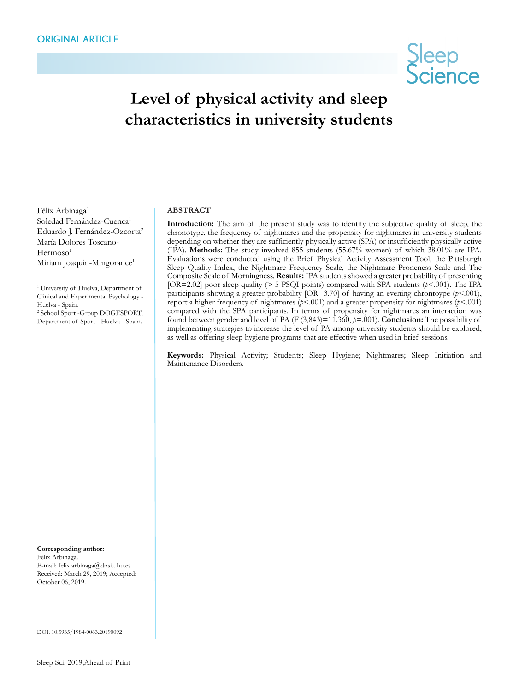

# **Level of physical activity and sleep characteristics in university students**

Félix Arbinaga<sup>1</sup> Soledad Fernández-Cuenca<sup>1</sup> Eduardo I. Fernández-Ozcorta<sup>2</sup> María Dolores Toscano- $Hermoso<sup>1</sup>$ Miriam Joaquin-Mingorance<sup>1</sup>

<sup>1</sup> University of Huelva, Department of Clinical and Experimental Psychology - Huelva - Spain. 2 School Sport -Group DOGESPORT,

Department of Sport - Huelva - Spain.

#### **ABSTRACT**

**Introduction:** The aim of the present study was to identify the subjective quality of sleep, the chronotype, the frequency of nightmares and the propensity for nightmares in university students depending on whether they are sufficiently physically active (SPA) or insufficiently physically active (IPA). **Methods:** The study involved 855 students (55.67% women) of which 38.01% are IPA. Evaluations were conducted using the Brief Physical Activity Assessment Tool, the Pittsburgh Sleep Quality Index, the Nightmare Frequency Scale, the Nightmare Proneness Scale and The Composite Scale of Morningness. **Results:** IPA students showed a greater probability of presenting [OR=2.02] poor sleep quality (> 5 PSQI points) compared with SPA students (*p*<.001). The IPA participants showing a greater probability [OR=3.70] of having an evening chrontoype ( $p$ <.001), report a higher frequency of nightmares (*p*<.001) and a greater propensity for nightmares (*p*<.001) compared with the SPA participants. In terms of propensity for nightmares an interaction was found between gender and level of PA (F  $(3,843)=11.360, p=001$ ). **Conclusion:** The possibility of implementing strategies to increase the level of PA among university students should be explored, as well as offering sleep hygiene programs that are effective when used in brief sessions.

**Keywords:** Physical Activity; Students; Sleep Hygiene; Nightmares; Sleep Initiation and Maintenance Disorders.

**Corresponding author:** Félix Arbinaga. E-mail: felix.arbinaga@dpsi.uhu.es Received: March 29, 2019; Accepted: October 06, 2019.

DOI: 10.5935/1984-0063.20190092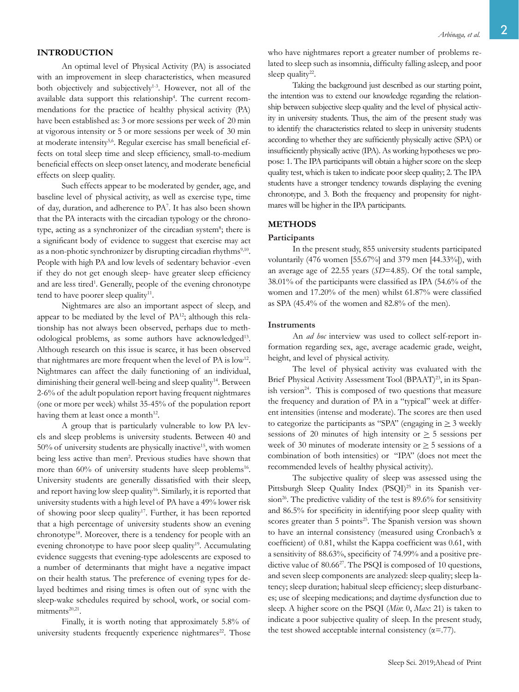### **INTRODUCTION**

An optimal level of Physical Activity (PA) is associated with an improvement in sleep characteristics, when measured both objectively and subjectively<sup>1-3</sup>. However, not all of the available data support this relationship<sup>4</sup>. The current recommendations for the practice of healthy physical activity (PA) have been established as: 3 or more sessions per week of 20 min at vigorous intensity or 5 or more sessions per week of 30 min at moderate intensity<sup>5,6</sup>. Regular exercise has small beneficial effects on total sleep time and sleep efficiency, small-to-medium beneficial effects on sleep onset latency, and moderate beneficial effects on sleep quality.

Such effects appear to be moderated by gender, age, and baseline level of physical activity, as well as exercise type, time of day, duration, and adherence to PA7 . It has also been shown that the PA interacts with the circadian typology or the chronotype, acting as a synchronizer of the circadian system<sup>8</sup>; there is a significant body of evidence to suggest that exercise may act as a non-photic synchronizer by disrupting circadian rhythms<sup>9,10</sup>. People with high PA and low levels of sedentary behavior -even if they do not get enough sleep- have greater sleep efficiency and are less tired<sup>1</sup>. Generally, people of the evening chronotype tend to have poorer sleep quality<sup>11</sup>.

Nightmares are also an important aspect of sleep, and appear to be mediated by the level of PA<sup>12</sup>; although this relationship has not always been observed, perhaps due to methodological problems, as some authors have acknowledged<sup>13</sup>. Although research on this issue is scarce, it has been observed that nightmares are more frequent when the level of PA is low<sup>12</sup>. Nightmares can affect the daily functioning of an individual, diminishing their general well-being and sleep quality<sup>14</sup>. Between 2-6% of the adult population report having frequent nightmares (one or more per week) whilst 35-45% of the population report having them at least once a month<sup>12</sup>.

A group that is particularly vulnerable to low PA levels and sleep problems is university students. Between 40 and  $50\%$  of university students are physically inactive<sup>15</sup>, with women being less active than men<sup>2</sup>. Previous studies have shown that more than  $60\%$  of university students have sleep problems<sup>16</sup>. University students are generally dissatisfied with their sleep, and report having low sleep quality<sup>16</sup>. Similarly, it is reported that university students with a high level of PA have a 49% lower risk of showing poor sleep quality<sup>17</sup>. Further, it has been reported that a high percentage of university students show an evening chronotype<sup>18</sup>. Moreover, there is a tendency for people with an evening chronotype to have poor sleep quality<sup>19</sup>. Accumulating evidence suggests that evening-type adolescents are exposed to a number of determinants that might have a negative impact on their health status. The preference of evening types for delayed bedtimes and rising times is often out of sync with the sleep-wake schedules required by school, work, or social commitments<sup>20,21</sup>.

Finally, it is worth noting that approximately 5.8% of university students frequently experience nightmares<sup>22</sup>. Those

Taking the background just described as our starting point, the intention was to extend our knowledge regarding the relationship between subjective sleep quality and the level of physical activity in university students. Thus, the aim of the present study was to identify the characteristics related to sleep in university students according to whether they are sufficiently physically active (SPA) or insufficiently physically active (IPA). As working hypotheses we propose: 1. The IPA participants will obtain a higher score on the sleep quality test, which is taken to indicate poor sleep quality; 2. The IPA students have a stronger tendency towards displaying the evening chronotype, and 3. Both the frequency and propensity for nightmares will be higher in the IPA participants.

# **METHODS**

#### **Participants**

In the present study, 855 university students participated voluntarily (476 women [55.67%] and 379 men [44.33%]), with an average age of 22.55 years (*SD*=4.85). Of the total sample, 38.01% of the participants were classified as IPA (54.6% of the women and 17.20% of the men) whilst 61.87% were classified as SPA (45.4% of the women and 82.8% of the men).

#### **Instruments**

An *ad hoc* interview was used to collect self-report information regarding sex, age, average academic grade, weight, height, and level of physical activity.

The level of physical activity was evaluated with the Brief Physical Activity Assessment Tool (BPAAT)<sup>23</sup>, in its Spanish version<sup>24</sup>. This is composed of two questions that measure the frequency and duration of PA in a "typical" week at different intensities (intense and moderate). The scores are then used to categorize the participants as "SPA" (engaging in  $\geq$  3 weekly sessions of 20 minutes of high intensity or  $\geq$  5 sessions per week of 30 minutes of moderate intensity or  $\geq$  5 sessions of a combination of both intensities) or "IPA" (does not meet the recommended levels of healthy physical activity).

The subjective quality of sleep was assessed using the Pittsburgh Sleep Quality Index (PSQI)<sup>25</sup> in its Spanish version<sup>26</sup>. The predictive validity of the test is  $89.6\%$  for sensitivity and 86.5% for specificity in identifying poor sleep quality with scores greater than 5 points<sup>25</sup>. The Spanish version was shown to have an internal consistency (measured using Cronbach's α coefficient) of 0.81, whilst the Kappa coefficient was 0.61, with a sensitivity of 88.63%, specificity of 74.99% and a positive predictive value of 80.66<sup>27</sup>. The PSQI is composed of 10 questions, and seven sleep components are analyzed: sleep quality; sleep latency; sleep duration; habitual sleep efficiency; sleep disturbances; use of sleeping medications; and daytime dysfunction due to sleep. A higher score on the PSQI (*Min*: 0, *Max*: 21) is taken to indicate a poor subjective quality of sleep. In the present study, the test showed acceptable internal consistency  $(\alpha = .77)$ .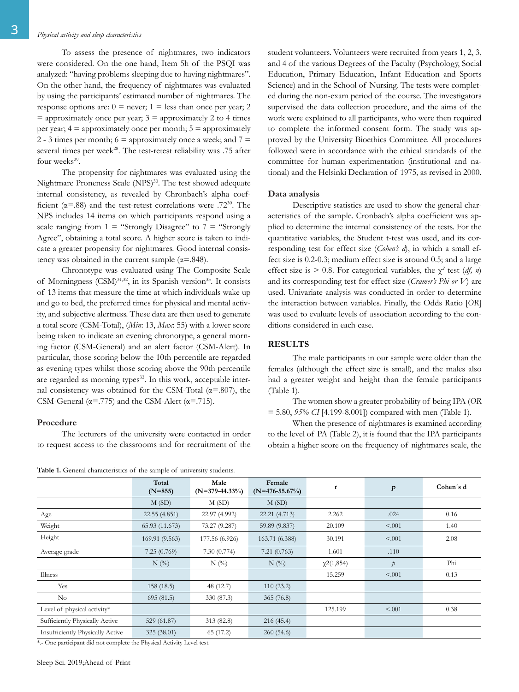To assess the presence of nightmares, two indicators were considered. On the one hand, Item 5h of the PSQI was analyzed: "having problems sleeping due to having nightmares". On the other hand, the frequency of nightmares was evaluated by using the participants' estimated number of nightmares. The response options are:  $0 =$  never;  $1 =$  less than once per year; 2  $=$  approximately once per year;  $3 =$  approximately 2 to 4 times per year;  $4 =$  approximately once per month;  $5 =$  approximately 2 - 3 times per month;  $6 =$  approximately once a week; and  $7 =$ several times per week<sup>28</sup>. The test-retest reliability was .75 after four weeks<sup>29</sup>.

The propensity for nightmares was evaluated using the Nightmare Proneness Scale (NPS)<sup>30</sup>. The test showed adequate internal consistency, as revealed by Chronbach's alpha coefficient ( $\alpha$ =.88) and the test-retest correlations were .72<sup>30</sup>. The NPS includes 14 items on which participants respond using a scale ranging from  $1 =$  "Strongly Disagree" to  $7 =$  "Strongly Agree", obtaining a total score. A higher score is taken to indicate a greater propensity for nightmares. Good internal consistency was obtained in the current sample  $(\alpha = .848)$ .

Chronotype was evaluated using The Composite Scale of Morningness (CSM)<sup>31,32</sup>, in its Spanish version<sup>33</sup>. It consists of 13 items that measure the time at which individuals wake up and go to bed, the preferred times for physical and mental activity, and subjective alertness. These data are then used to generate a total score (CSM-Total), (*Min*: 13, *Max*: 55) with a lower score being taken to indicate an evening chronotype, a general morning factor (CSM-General) and an alert factor (CSM-Alert). In particular, those scoring below the 10th percentile are regarded as evening types whilst those scoring above the 90th percentile are regarded as morning types<sup>33</sup>. In this work, acceptable internal consistency was obtained for the CSM-Total ( $\alpha$ =.807), the CSM-General ( $\alpha$ =.775) and the CSM-Alert ( $\alpha$ =.715).

#### **Procedure**

The lecturers of the university were contacted in order to request access to the classrooms and for recruitment of the student volunteers. Volunteers were recruited from years 1, 2, 3, and 4 of the various Degrees of the Faculty (Psychology, Social Education, Primary Education, Infant Education and Sports Science) and in the School of Nursing. The tests were completed during the non-exam period of the course. The investigators supervised the data collection procedure, and the aims of the work were explained to all participants, who were then required to complete the informed consent form. The study was approved by the University Bioethics Committee. All procedures followed were in accordance with the ethical standards of the committee for human experimentation (institutional and national) and the Helsinki Declaration of 1975, as revised in 2000.

# **Data analysis**

Descriptive statistics are used to show the general characteristics of the sample. Cronbach's alpha coefficient was applied to determine the internal consistency of the tests. For the quantitative variables, the Student t-test was used, and its corresponding test for effect size (*Cohen's d*), in which a small effect size is 0.2-0.3; medium effect size is around 0.5; and a large effect size is  $> 0.8$ . For categorical variables, the  $\chi^2$  test (*df, n*) and its corresponding test for effect size (*Cramer's Phi or V*) are used. Univariate analysis was conducted in order to determine the interaction between variables. Finally, the Odds Ratio [*OR*] was used to evaluate levels of association according to the conditions considered in each case.

### **RESULTS**

The male participants in our sample were older than the females (although the effect size is small), and the males also had a greater weight and height than the female participants (Table 1).

The women show a greater probability of being IPA (*OR* = 5.80, *95% CI* [4.199-8.001]) compared with men (Table 1).

When the presence of nightmares is examined according to the level of PA (Table 2), it is found that the IPA participants obtain a higher score on the frequency of nightmares scale, the

**Table 1.** General characteristics of the sample of university students.

| <b>Twore is Ocheral characteristics of the sample of amversity students.</b> |                                |                                |                                |                 |                  |           |  |  |
|------------------------------------------------------------------------------|--------------------------------|--------------------------------|--------------------------------|-----------------|------------------|-----------|--|--|
|                                                                              | Total<br>$(N=855)$             | Male<br>$(N=379-44.33\%)$      | Female<br>$(N=476-55.67%)$     | t               | $\boldsymbol{p}$ | Cohen's d |  |  |
|                                                                              | M(SD)                          | M(SD)                          | M(SD)                          |                 |                  |           |  |  |
| Age                                                                          | 22.55 (4.851)                  | 22.97 (4.992)                  | 22.21 (4.713)                  | 2.262           | .024             | 0.16      |  |  |
| Weight                                                                       | 65.93 (11.673)                 | 73.27 (9.287)                  | 59.89 (9.837)                  | 20.109          | < 0.001          | 1.40      |  |  |
| Height                                                                       | 169.91 (9.563)                 | 177.56 (6.926)                 | 163.71 (6.388)                 | 30.191          | < 0.001          | 2.08      |  |  |
| Average grade                                                                | 7.25(0.769)                    | 7.30(0.774)                    | 7.21(0.763)                    | 1.601           | .110             |           |  |  |
|                                                                              | $N$ $\left(\frac{0}{0}\right)$ | $N$ $\left(\frac{0}{0}\right)$ | $N$ $\left(\frac{0}{0}\right)$ | $\chi$ 2(1,854) | $\mathcal{P}$    | Phi       |  |  |
| Illness                                                                      |                                |                                |                                | 15.259          | < 0.01           | 0.13      |  |  |
| Yes                                                                          | 158 (18.5)                     | 48 (12.7)                      | 110(23.2)                      |                 |                  |           |  |  |
| No.                                                                          | 695(81.5)                      | 330 (87.3)                     | 365(76.8)                      |                 |                  |           |  |  |
| Level of physical activity*                                                  |                                |                                |                                | 125.199         | < .001           | 0.38      |  |  |
| Sufficiently Physically Active                                               | 529 (61.87)                    | 313 (82.8)                     | 216(45.4)                      |                 |                  |           |  |  |
| Insufficiently Physically Active                                             | 325(38.01)                     | 65 (17.2)                      | 260(54.6)                      |                 |                  |           |  |  |

\*.- One participant did not complete the Physical Activity Level test.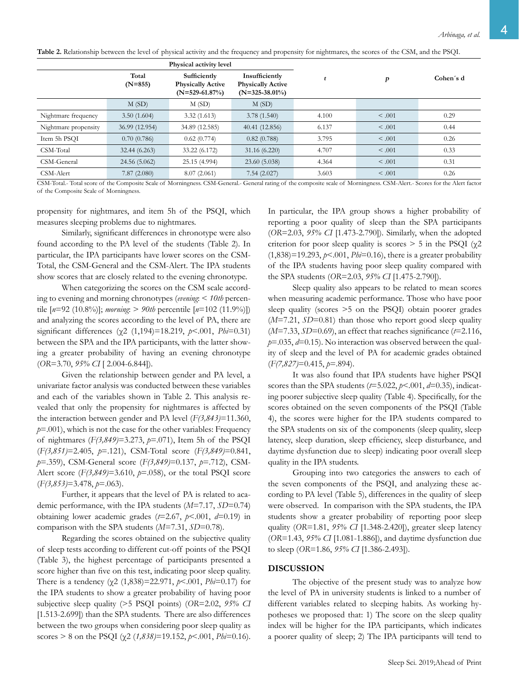| Table 2. Relationship between the level of physical activity and the frequency and propensity for nightmares, the scores of the CSM, and the PSQI. |  |  |  |  |
|----------------------------------------------------------------------------------------------------------------------------------------------------|--|--|--|--|
|----------------------------------------------------------------------------------------------------------------------------------------------------|--|--|--|--|

|                      |                                                                                    | Physical activity level |                                                                 |       |             |           |  |
|----------------------|------------------------------------------------------------------------------------|-------------------------|-----------------------------------------------------------------|-------|-------------|-----------|--|
|                      | Total<br>Sufficiently<br>$(N=855)$<br><b>Physically Active</b><br>$(N=529-61.87%)$ |                         | Insufficiently<br><b>Physically Active</b><br>$(N=325-38.01\%)$ |       | р           | Cohen's d |  |
|                      | M(SD)                                                                              | M(SD)                   | M(SD)                                                           |       |             |           |  |
| Nightmare frequency  | 3.50(1.604)                                                                        | 3.32(1.613)             | 3.78(1.540)                                                     | 4.100 | $\leq .001$ | 0.29      |  |
| Nightmare propensity | 36.99 (12.954)                                                                     | 34.89 (12.585)          | 40.41 (12.856)                                                  | 6.137 | < 0.001     | 0.44      |  |
| Item 5h PSQI         | 0.70(0.786)                                                                        | 0.62(0.774)             | 0.82(0.788)                                                     | 3.795 | < 0.001     | 0.26      |  |
| CSM-Total            | 32.44(6.263)                                                                       | 33.22 (6.172)           | 31.16(6.220)                                                    | 4.707 | < 0.001     | 0.33      |  |
| CSM-General          | 24.56 (5.062)                                                                      | 25.15 (4.994)           | 23.60 (5.038)                                                   | 4.364 | < 0.001     | 0.31      |  |
| CSM-Alert            | 7.87(2.080)                                                                        | 8.07(2.061)             | 7.54(2.027)                                                     | 3.603 | < 0.001     | 0.26      |  |

CSM-Total.- Total score of the Composite Scale of Morningness. CSM-General.- General rating of the composite scale of Morningness. CSM-Alert.- Scores for the Alert factor of the Composite Scale of Morningness.

propensity for nightmares, and item 5h of the PSQI, which measures sleeping problems due to nightmares.

Similarly, significant differences in chronotype were also found according to the PA level of the students (Table 2). In particular, the IPA participants have lower scores on the CSM-Total, the CSM-General and the CSM-Alert. The IPA students show scores that are closely related to the evening chronotype.

When categorizing the scores on the CSM scale according to evening and morning chronotypes (*evening*: < *10th* percentile [*n*=92 (10.8%)]; *morning*: > *90th* percentile [*n*=102 (11.9%)]) and analyzing the scores according to the level of PA, there are significant differences (χ2 (1,194)=18.219, *p*<.001, *Phi*=0.31) between the SPA and the IPA participants, with the latter showing a greater probability of having an evening chronotype (*OR*=3.70, *95% CI* [ 2.004-6.844]).

Given the relationship between gender and PA level, a univariate factor analysis was conducted between these variables and each of the variables shown in Table 2. This analysis revealed that only the propensity for nightmares is affected by the interaction between gender and PA level (*F(3,843)*=11.360,  $p=0.001$ , which is not the case for the other variables: Frequency of nightmares (*F(3,849)*=3.273, *p*=.071), Item 5h of the PSQI (*F(3,851)*=2.405, *p*=.121), CSM-Total score (*F(3,849)*=0.841, *p*=.359), CSM-General score (*F(3,849)*=0.137, *p*=.712), CSM-Alert score (*F(3,849)*=3.610, *p*=.058), or the total PSQI score (*F(3,853)*=3.478, *p*=.063).

Further, it appears that the level of PA is related to academic performance, with the IPA students (*M*=7.17, *SD*=0.74) obtaining lower academic grades  $(t=2.67, p<.001, d=0.19)$  in comparison with the SPA students (*M*=7.31, *SD*=0.78).

Regarding the scores obtained on the subjective quality of sleep tests according to different cut-off points of the PSQI (Table 3), the highest percentage of participants presented a score higher than five on this test, indicating poor sleep quality. There is a tendency (χ2 (1,838)=22.971, *p*<.001, *Phi*=0.17) for the IPA students to show a greater probability of having poor subjective sleep quality (>5 PSQI points) (*OR*=2.02, *95% CI*  [1.513-2.699]) than the SPA students. There are also differences between the two groups when considering poor sleep quality as scores > 8 on the PSQI (χ2 (*1,838)*=19.152, *p*<.001, *Phi*=0.16).

In particular, the IPA group shows a higher probability of reporting a poor quality of sleep than the SPA participants (*OR*=2.03, *95% CI* [1.473-2.790]). Similarly, when the adopted criterion for poor sleep quality is scores  $> 5$  in the PSQI ( $\gamma$ 2  $(1,838)$ =19.293, *p*<.001, *Phi*=0.16), there is a greater probability of the IPA students having poor sleep quality compared with the SPA students (*OR*=2.03, *95% CI* [1.475-2.790]).

Sleep quality also appears to be related to mean scores when measuring academic performance. Those who have poor sleep quality (scores >5 on the PSQI) obtain poorer grades  $(M=7.21, SD=0.81)$  than those who report good sleep quality (*M*=7.33, *SD*=0.69), an effect that reaches significance (*t*=2.116, *p*=.035, *d*=0.15). No interaction was observed between the quality of sleep and the level of PA for academic grades obtained (*F(7,827)*=0.415, *p*=.894).

It was also found that IPA students have higher PSQI scores than the SPA students  $(t=5.022, p<.001, d=0.35)$ , indicating poorer subjective sleep quality (Table 4). Specifically, for the scores obtained on the seven components of the PSQI (Table 4), the scores were higher for the IPA students compared to the SPA students on six of the components (sleep quality, sleep latency, sleep duration, sleep efficiency, sleep disturbance, and daytime dysfunction due to sleep) indicating poor overall sleep quality in the IPA students.

Grouping into two categories the answers to each of the seven components of the PSQI, and analyzing these according to PA level (Table 5), differences in the quality of sleep were observed. In comparison with the SPA students, the IPA students show a greater probability of reporting poor sleep quality (*OR*=1.81, *95% CI* [1.348-2.420]), greater sleep latency (*OR*=1.43, *95% CI* [1.081-1.886]), and daytime dysfunction due to sleep (*OR*=1.86, *95% CI* [1.386-2.493]).

# **DISCUSSION**

The objective of the present study was to analyze how the level of PA in university students is linked to a number of different variables related to sleeping habits. As working hypotheses we proposed that: 1) The score on the sleep quality index will be higher for the IPA participants, which indicates a poorer quality of sleep; 2) The IPA participants will tend to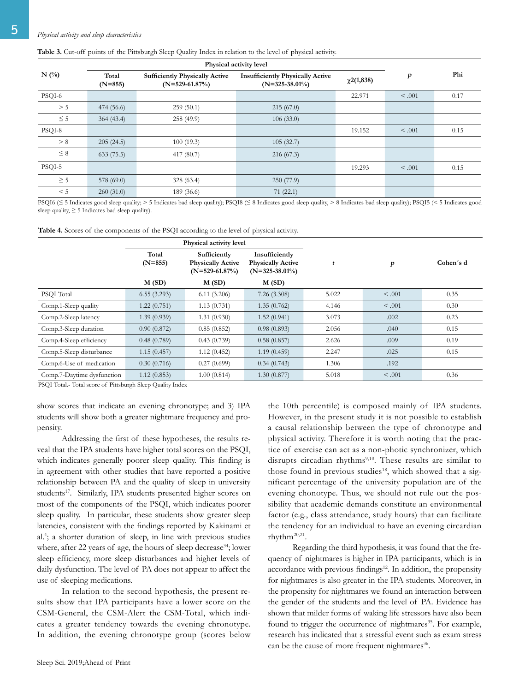# 5 *Physical activity and sleep characteristics*

#### **Table 3.** Cut-off points of the Pittsburgh Sleep Quality Index in relation to the level of physical activity.

|                               |            | Physical activity level                                   |                                                              |                 |                  |      |
|-------------------------------|------------|-----------------------------------------------------------|--------------------------------------------------------------|-----------------|------------------|------|
| $N$ (%)<br>Total<br>$(N=855)$ |            | <b>Sufficiently Physically Active</b><br>$(N=529-61.87%)$ | <b>Insufficiently Physically Active</b><br>$(N=325-38.01\%)$ | $\chi$ 2(1,838) | $\boldsymbol{p}$ | Phi  |
| PSQI-6                        |            |                                                           |                                                              | 22.971          | < 0.001          | 0.17 |
| > 5                           | 474 (56.6) | 259(50.1)                                                 | 215(67.0)                                                    |                 |                  |      |
| $\leq$ 5                      | 364(43.4)  | 258(49.9)                                                 | 106(33.0)                                                    |                 |                  |      |
| PSQI-8                        |            |                                                           |                                                              | 19.152          | < .001           | 0.15 |
| > 8                           | 205(24.5)  | 100(19.3)                                                 | 105(32.7)                                                    |                 |                  |      |
| $\leq 8$                      | 633(75.5)  | 417 (80.7)                                                | 216(67.3)                                                    |                 |                  |      |
| PSQI-5                        |            |                                                           |                                                              | 19.293          | < .001           | 0.15 |
| $\geq$ 5                      | 578 (69.0) | 328(63.4)                                                 | 250(77.9)                                                    |                 |                  |      |
| < 5                           | 260(31.0)  | 189 (36.6)                                                | 71(22.1)                                                     |                 |                  |      |

PSQI6 (≤ 5 Indicates good sleep quality; > 5 Indicates bad sleep quality); PSQI8 (≤ 8 Indicates good sleep quality, > 8 Indicates bad sleep quality); PSQI5 (< 5 Indicates good sleep quality,  $\geq 5$  Indicates bad sleep quality).

**Table 4.** Scores of the components of the PSQI according to the level of physical activity.

|                            | Physical activity level |                                                              |                                                                 |       |             |           |
|----------------------------|-------------------------|--------------------------------------------------------------|-----------------------------------------------------------------|-------|-------------|-----------|
|                            | Total<br>$(N=855)$      | Sufficiently<br><b>Physically Active</b><br>$(N=529-61.87%)$ | Insufficiently<br><b>Physically Active</b><br>$(N=325-38.01\%)$ | t     | p           | Cohen's d |
|                            | M(SD)                   | M(SD)                                                        | M(SD)                                                           |       |             |           |
| PSQI Total                 | 6.55(3.293)             | 6.11(3.206)                                                  | 7.26(3.308)                                                     | 5.022 | $\leq .001$ | 0.35      |
| Comp.1-Sleep quality       | 1.22(0.751)             | 1.13(0.731)                                                  | 1.35(0.762)                                                     | 4.146 | < .001      | 0.30      |
| Comp.2-Sleep latency       | 1.39(0.939)             | 1.31(0.930)                                                  | 1.52(0.941)                                                     | 3.073 | .002        | 0.23      |
| Comp.3-Sleep duration      | 0.90(0.872)             | 0.85(0.852)                                                  | 0.98(0.893)                                                     | 2.056 | .040        | 0.15      |
| Comp.4-Sleep efficiency    | 0.48(0.789)             | 0.43(0.739)                                                  | 0.58(0.857)                                                     | 2.626 | .009        | 0.19      |
| Comp.5-Sleep disturbance   | 1.15(0.457)             | 1.12(0.452)                                                  | 1.19(0.459)                                                     | 2.247 | .025        | 0.15      |
| Comp.6-Use of medication   | 0.30(0.716)             | 0.27(0.699)                                                  | 0.34(0.743)                                                     | 1.306 | .192        |           |
| Comp.7-Daytime dysfunction | 1.12(0.853)             | 1.00(0.814)                                                  | 1.30(0.877)                                                     | 5.018 | < 0.001     | 0.36      |

PSQI Total.- Total score of Pittsburgh Sleep Quality Index

show scores that indicate an evening chronotype; and 3) IPA students will show both a greater nightmare frequency and propensity.

Addressing the first of these hypotheses, the results reveal that the IPA students have higher total scores on the PSQI, which indicates generally poorer sleep quality. This finding is in agreement with other studies that have reported a positive relationship between PA and the quality of sleep in university students<sup>17</sup>. Similarly, IPA students presented higher scores on most of the components of the PSQI, which indicates poorer sleep quality. In particular, these students show greater sleep latencies, consistent with the findings reported by Kakinami et al.4 ; a shorter duration of sleep, in line with previous studies where, after 22 years of age, the hours of sleep decrease<sup>34</sup>; lower sleep efficiency, more sleep disturbances and higher levels of daily dysfunction. The level of PA does not appear to affect the use of sleeping medications.

In relation to the second hypothesis, the present results show that IPA participants have a lower score on the CSM-General, the CSM-Alert the CSM-Total, which indicates a greater tendency towards the evening chronotype. In addition, the evening chronotype group (scores below the 10th percentile) is composed mainly of IPA students. However, in the present study it is not possible to establish a causal relationship between the type of chronotype and physical activity. Therefore it is worth noting that the practice of exercise can act as a non-photic synchronizer, which disrupts circadian rhythms<sup>9,10</sup>. These results are similar to those found in previous studies<sup>18</sup>, which showed that a significant percentage of the university population are of the evening chonotype. Thus, we should not rule out the possibility that academic demands constitute an environmental factor (e.g., class attendance, study hours) that can facilitate the tendency for an individual to have an evening circardian rhythm20,21.

Regarding the third hypothesis, it was found that the frequency of nightmares is higher in IPA participants, which is in accordance with previous findings<sup>12</sup>. In addition, the propensity for nightmares is also greater in the IPA students. Moreover, in the propensity for nightmares we found an interaction between the gender of the students and the level of PA. Evidence has shown that milder forms of waking life stressors have also been found to trigger the occurrence of nightmares<sup>35</sup>. For example, research has indicated that a stressful event such as exam stress can be the cause of more frequent nightmares<sup>36</sup>.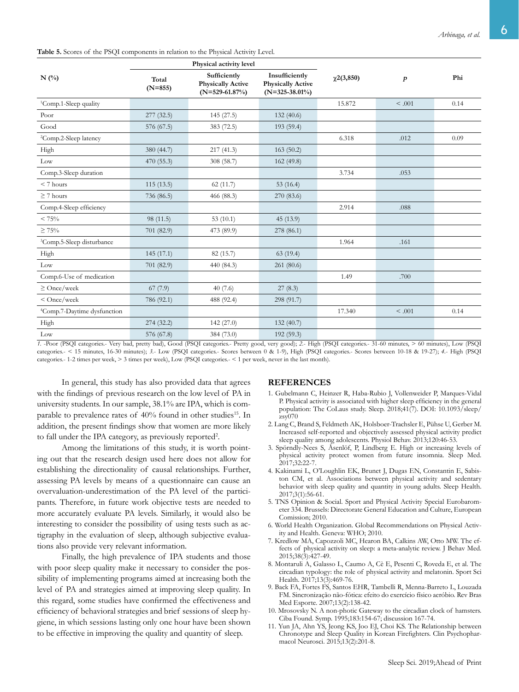**Table 5.** Scores of the PSQI components in relation to the Physical Activity Level.

|                                         |                    | Physical activity level                                      |                                                                 |                 |         |      |
|-----------------------------------------|--------------------|--------------------------------------------------------------|-----------------------------------------------------------------|-----------------|---------|------|
| $N$ (%)                                 | Total<br>$(N=855)$ | Sufficiently<br><b>Physically Active</b><br>$(N=529-61.87%)$ | Insufficiently<br><b>Physically Active</b><br>$(N=325-38.01\%)$ | $\chi$ 2(3,850) | p       | Phi  |
| <sup>1</sup> Comp.1-Sleep quality       |                    |                                                              |                                                                 | 15.872          | < 0.001 | 0.14 |
| Poor                                    | 277 (32.5)         | 145 (27.5)                                                   | 132(40.6)                                                       |                 |         |      |
| Good                                    | 576 (67.5)         | 383 (72.5)                                                   | 193 (59.4)                                                      |                 |         |      |
| <sup>2</sup> Comp.2-Sleep latency       |                    |                                                              |                                                                 | 6.318           | .012    | 0.09 |
| High                                    | 380 (44.7)         | 217(41.3)                                                    | 163(50.2)                                                       |                 |         |      |
| Low                                     | 470 (55.3)         | 308 (58.7)                                                   | 162(49.8)                                                       |                 |         |      |
| Comp.3-Sleep duration                   |                    |                                                              |                                                                 | 3.734           | .053    |      |
| $< 7$ hours                             | 115(13.5)          | 62(11.7)                                                     | 53 $(16.4)$                                                     |                 |         |      |
| $\geq$ 7 hours                          | 736 (86.5)         | 466 (88.3)                                                   | 270 (83.6)                                                      |                 |         |      |
| Comp.4-Sleep efficiency                 |                    |                                                              |                                                                 | 2.914           | .088    |      |
| < 75%                                   | 98 (11.5)          | 53 $(10.1)$                                                  | 45 (13.9)                                                       |                 |         |      |
| $\geq 75\%$                             | 701 (82.9)         | 473 (89.9)                                                   | 278 (86.1)                                                      |                 |         |      |
| <sup>3</sup> Comp.5-Sleep disturbance   |                    |                                                              |                                                                 | 1.964           | .161    |      |
| High                                    | 145 (17.1)         | 82(15.7)                                                     | 63(19.4)                                                        |                 |         |      |
| Low                                     | 701 (82.9)         | 440 (84.3)                                                   | 261 (80.6)                                                      |                 |         |      |
| Comp.6-Use of medication                |                    |                                                              |                                                                 | 1.49            | .700    |      |
| $\geq$ Once/week                        | 67(7.9)            | 40(7.6)                                                      | 27(8.3)                                                         |                 |         |      |
| $<$ Once/week                           | 786 (92.1)         | 488 (92.4)                                                   | 298 (91.7)                                                      |                 |         |      |
| <sup>4</sup> Comp.7-Daytime dysfunction |                    |                                                              |                                                                 | 17.340          | < .001  | 0.14 |
| High                                    | 274 (32.2)         | 142(27.0)                                                    | 132(40.7)                                                       |                 |         |      |
| Low                                     | 576 (67.8)         | 384 (73.0)                                                   | 192 (59.3)                                                      |                 |         |      |

*1.* -Poor (PSQI categories.- Very bad, pretty bad), Good (PSQI categories.- Pretty good, very good); *2.*- High (PSQI categories.- 31-60 minutes, > 60 minutes), Low (PSQI categories.- < 15 minutes, 16-30 minutes); *3.*- Low (PSQI categories.- Scores between 0 & 1-9), High (PSQI categories.- Scores between 10-18 & 19-27); *4.*- High (PSQI categories.- 1-2 times per week, > 3 times per week), Low (PSQI categories.- < 1 per week, never in the last month).

In general, this study has also provided data that agrees with the findings of previous research on the low level of PA in university students. In our sample, 38.1% are IPA, which is comparable to prevalence rates of 40% found in other studies<sup>15</sup>. In addition, the present findings show that women are more likely to fall under the IPA category, as previously reported<sup>2</sup>.

Among the limitations of this study, it is worth pointing out that the research design used here does not allow for establishing the directionality of causal relationships. Further, assessing PA levels by means of a questionnaire can cause an overvaluation-underestimation of the PA level of the participants. Therefore, in future work objective tests are needed to more accurately evaluate PA levels. Similarly, it would also be interesting to consider the possibility of using tests such as actigraphy in the evaluation of sleep, although subjective evaluations also provide very relevant information.

Finally, the high prevalence of IPA students and those with poor sleep quality make it necessary to consider the possibility of implementing programs aimed at increasing both the level of PA and strategies aimed at improving sleep quality. In this regard, some studies have confirmed the effectiveness and efficiency of behavioral strategies and brief sessions of sleep hygiene, in which sessions lasting only one hour have been shown to be effective in improving the quality and quantity of sleep.

#### **REFERENCES**

- 1. Gubelmann C, Heinzer R, Haba-Rubio J, Vollenweider P, Marques-Vidal P. Physical activity is associated with higher sleep efficiency in the general population: The CoLaus study. Sleep. 2018;41(7). DOI: 10.1093/sleep/ zsy070
- 2. Lang C, Brand S, Feldmeth AK, Holsboer-Trachsler E, Pühse U, Gerber M. Increased self-reported and objectively assessed physical activity predict sleep quality among adolescents. Physiol Behav. 2013;120:46-53.
- 3. Spörndly-Nees S, Åsenlöf, P, Lindberg E. High or increasing levels of physical activity protect women from future insomnia. Sleep Med. 2017;32:22-7.
- 4. Kakinami L, O'Loughlin EK, Brunet J, Dugas EN, Constantin E, Sabiston CM, et al. Associations between physical activity and sedentary behavior with sleep quality and quantity in young adults. Sleep Health. 2017;3(1):56-61.
- 5. TNS Opinion & Social. Sport and Physical Activity Special Eurobarometer 334. Brussels: Directorate General Education and Culture, European Comission; 2010.
- 6. World Health Organization. Global Recommendations on Physical Activity and Health. Geneva: WHO; 2010.
- 7. Kredlow MA, Capozzoli MC, Hearon BA, Calkins AW, Otto MW. The effects of physical activity on sleep: a meta-analytic review. J Behav Med. 2015;38(3):427-49.
- 8. Montaruli A, Galasso L, Caumo A, Cè E, Pesenti C, Roveda E, et al. The circadian typology: the role of physical activity and melatonin. Sport Sci Health. 2017;13(3):469-76.
- 9. Back FA, Fortes FS, Santos EHR, Tambelli R, Menna-Barreto L, Louzada FM. Sincronização não-fótica: efeito do exercício físico aeróbio. Rev Bras Med Esporte. 2007;13(2):138-42.
- 10. Mrosovsky N. A non-photic Gateway to the circadian clock of hamsters. Ciba Found. Symp. 1995;183:154-67; discussion 167-74.
- 11. Yun JA, Ahn YS, Jeong KS, Joo EJ, Choi KS. The Relationship between Chronotype and Sleep Quality in Korean Firefighters. Clin Psychopharmacol Neurosci. 2015;13(2):201-8.